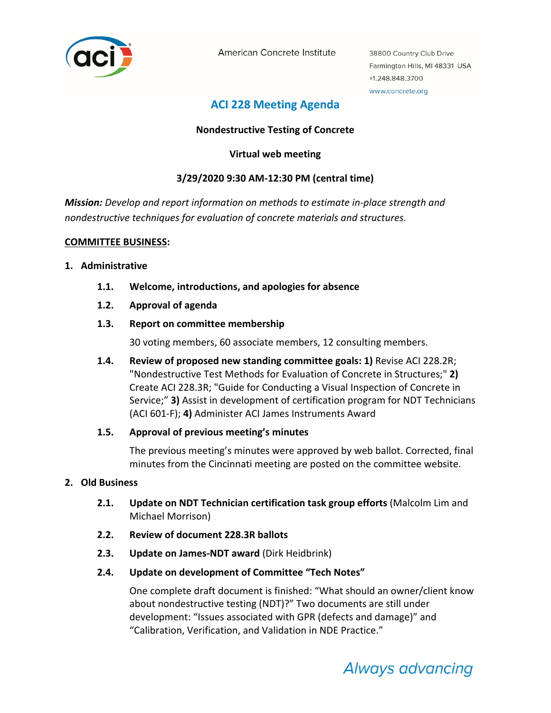

American Concrete Institute

38800 Country Club Drive Farmington Hills, MI 48331 USA +1.248.848.3700 www.concrete.org

# **ACI 228 Meeting Agenda**

# **Nondestructive Testing of Concrete**

# **Virtual web meeting**

# **3/29/2020 9:30 AM‐12:30 PM (central time)**

*Mission: Develop and report information on methods to estimate in‐place strength and nondestructive techniques for evaluation of concrete materials and structures.*

# **COMMITTEE BUSINESS:**

#### **1. Administrative**

- **1.1. Welcome, introductions, and apologies for absence**
- **1.2. Approval of agenda**

# **1.3. Report on committee membership**

30 voting members, 60 associate members, 12 consulting members.

**1.4. Review of proposed new standing committee goals: 1)** Revise ACI 228.2R; "Nondestructive Test Methods for Evaluation of Concrete in Structures;" **2)** Create ACI 228.3R; "Guide for Conducting a Visual Inspection of Concrete in Service;" **3)** Assist in development of certification program for NDT Technicians (ACI 601‐F); **4)** Administer ACI James Instruments Award

#### **1.5. Approval of previous meeting's minutes**

The previous meeting's minutes were approved by web ballot. Corrected, final minutes from the Cincinnati meeting are posted on the committee website.

#### **2. Old Business**

- **2.1. Update on NDT Technician certification task group efforts** (Malcolm Lim and Michael Morrison)
- **2.2. Review of document 228.3R ballots**
- **2.3. Update on James‐NDT award** (Dirk Heidbrink)
- **2.4. Update on development of Committee "Tech Notes"**

One complete draft document is finished: "What should an owner/client know about nondestructive testing (NDT)?" Two documents are still under development: "Issues associated with GPR (defects and damage)" and "Calibration, Verification, and Validation in NDE Practice."